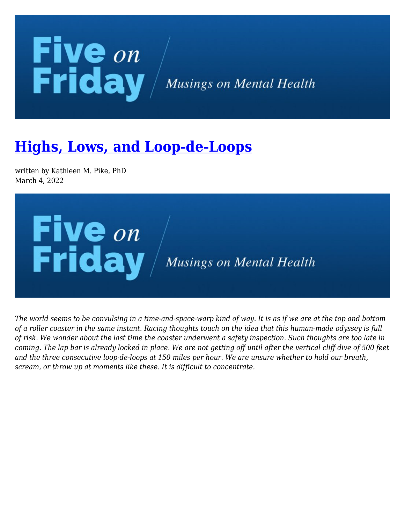## **Five** on<br>Friday / Musings on Mental Health

## **[Highs, Lows, and Loop-de-Loops](https://kathypikephd.com/five-on-friday/highs-lows-and-loop-de-loops/)**

written by Kathleen M. Pike, PhD March 4, 2022



*The world seems to be convulsing in a time-and-space-warp kind of way. It is as if we are at the top and bottom of a roller coaster in the same instant. Racing thoughts touch on the idea that this human-made odyssey is full of risk. We wonder about the last time the coaster underwent a safety inspection. Such thoughts are too late in coming. The lap bar is already locked in place. We are not getting off until after the vertical cliff dive of 500 feet and the three consecutive loop-de-loops at 150 miles per hour. We are unsure whether to hold our breath, scream, or throw up at moments like these. It is difficult to concentrate.*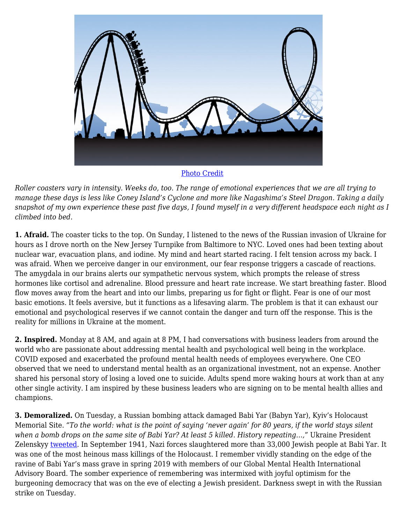

[Photo Credit](https://stock.adobe.com/images/a-silhouette-of-a-cartoon-roller-coaster-about-to-go-down-a-large-hill/141399140?prev_url=detail&asset_id=141399140)

*Roller coasters vary in intensity. Weeks do, too. The range of emotional experiences that we are all trying to manage these days is less like Coney Island's Cyclone and more like Nagashima's Steel Dragon. Taking a daily snapshot of my own experience these past five days, I found myself in a very different headspace each night as I climbed into bed.*

**1. Afraid.** The coaster ticks to the top. On Sunday, I listened to the news of the Russian invasion of Ukraine for hours as I drove north on the New Jersey Turnpike from Baltimore to NYC. Loved ones had been texting about nuclear war, evacuation plans, and iodine. My mind and heart started racing. I felt tension across my back. I was afraid. When we perceive danger in our environment, our fear response triggers a cascade of reactions. The amygdala in our brains alerts our sympathetic nervous system, which prompts the release of stress hormones like cortisol and adrenaline. Blood pressure and heart rate increase. We start breathing faster. Blood flow moves away from the heart and into our limbs, preparing us for fight or flight. Fear is one of our most basic emotions. It feels aversive, but it functions as a lifesaving alarm. The problem is that it can exhaust our emotional and psychological reserves if we cannot contain the danger and turn off the response. This is the reality for millions in Ukraine at the moment.

**2. Inspired.** Monday at 8 AM, and again at 8 PM, I had conversations with business leaders from around the world who are passionate about addressing mental health and psychological well being in the workplace. COVID exposed and exacerbated the profound mental health needs of employees everywhere. One CEO observed that we need to understand mental health as an organizational investment, not an expense. Another shared his personal story of losing a loved one to suicide. Adults spend more waking hours at work than at any other single activity. I am inspired by these business leaders who are signing on to be mental health allies and champions.

**3. Demoralized.** On Tuesday, a Russian bombing attack damaged Babi Yar (Babyn Yar), Kyiv's Holocaust Memorial Site. *"To the world: what is the point of saying 'never again' for 80 years, if the world stays silent when a bomb drops on the same site of Babi Yar? At least 5 killed. History repeating…,*" Ukraine President Zelenskyy [tweeted](https://twitter.com/ZelenskyyUa/status/1498697538085568514). In September 1941, Nazi forces slaughtered more than 33,000 Jewish people at Babi Yar. It was one of the most heinous mass killings of the Holocaust. I remember vividly standing on the edge of the ravine of Babi Yar's mass grave in spring 2019 with members of our Global Mental Health International Advisory Board. The somber experience of remembering was intermixed with joyful optimism for the burgeoning democracy that was on the eve of electing a Jewish president. Darkness swept in with the Russian strike on Tuesday.